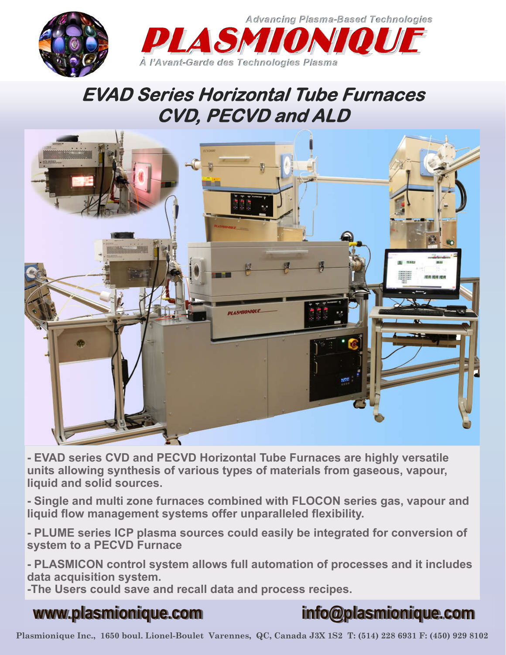

## **EVAD Series Horizontal Tube Furnaces CVD, PECVD and ALD**



**- EVAD series CVD and PECVD Horizontal Tube Furnaces are highly versatile units allowing synthesis of various types of materials from gaseous, vapour, liquid and solid sources.**

**- Single and multi zone furnaces combined with FLOCON series gas, vapour and liquid flow management systems offer unparalleled flexibility.** 

**- PLUME series ICP plasma sources could easily be integrated for conversion of system to a PECVD Furnace**

**- PLASMICON control system allows full automation of processes and it includes data acquisition system.**

**-The Users could save and recall data and process recipes.**

# **Plasmionique Inc, 1650 boul. Lionel-Boulet, Varennes, QC, Canada, J3X-1S2, Tel: (450) 929 8154, Fax: (450) 929 8102**

### **www.plasmionique.com info@plasmionique.com**

**Plasmionique Inc., 1650 boul. Lionel-Boulet Varennes, QC, Canada J3X 1S2 T: (514) 228 6931 F: (450) 929 8102**